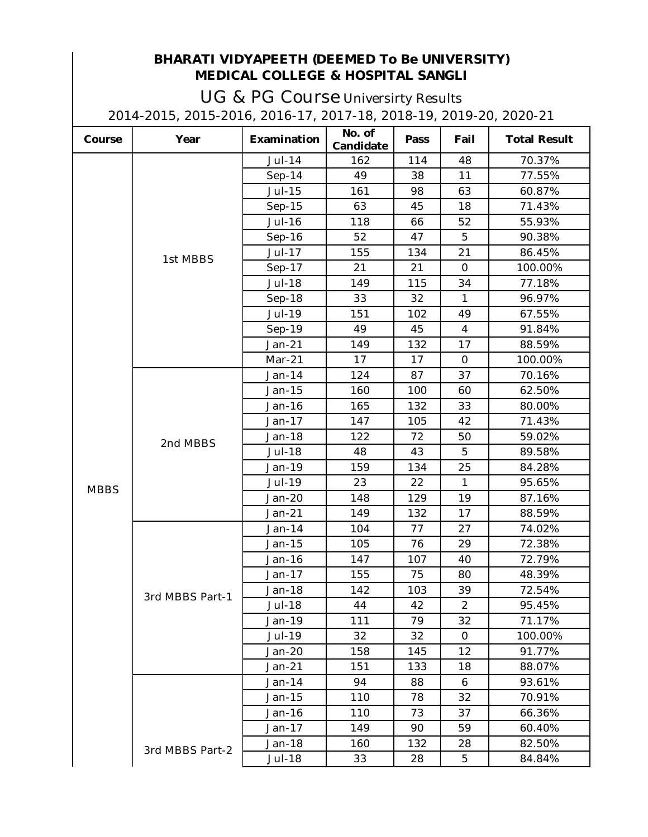# UG & PG Course Universirty Results

2014-2015, 2015-2016, 2016-17, 2017-18, 2018-19, 2019-20, 2020-21

| Course      | Year            | Examination   | No. of<br>Candidate | Pass | Fail             | <b>Total Result</b> |
|-------------|-----------------|---------------|---------------------|------|------------------|---------------------|
|             | 1st MBBS        | <b>Jul-14</b> | 162                 | 114  | 48               | 70.37%              |
|             |                 | $Sep-14$      | 49                  | 38   | 11               | 77.55%              |
|             |                 | <b>Jul-15</b> | 161                 | 98   | 63               | 60.87%              |
|             |                 | $Sep-15$      | 63                  | 45   | 18               | 71.43%              |
|             |                 | <b>Jul-16</b> | 118                 | 66   | 52               | 55.93%              |
|             |                 | $Sep-16$      | 52                  | 47   | $5\phantom{.0}$  | 90.38%              |
|             |                 | <b>Jul-17</b> | 155                 | 134  | 21               | 86.45%              |
|             |                 | $Sep-17$      | 21                  | 21   | $\bf{0}$         | 100.00%             |
|             |                 | <b>Jul-18</b> | 149                 | 115  | 34               | 77.18%              |
|             |                 | $Sep-18$      | 33                  | 32   | 1                | 96.97%              |
|             |                 | <b>Jul-19</b> | 151                 | 102  | 49               | 67.55%              |
|             |                 | <b>Sep-19</b> | 49                  | 45   | $\boldsymbol{4}$ | 91.84%              |
|             |                 | $Jan-21$      | 149                 | 132  | 17               | 88.59%              |
|             |                 | $Mar-21$      | 17                  | 17   | $\bf{0}$         | 100.00%             |
|             |                 | <b>Jan-14</b> | 124                 | 87   | 37               | 70.16%              |
|             |                 | $Jan-15$      | 160                 | 100  | 60               | 62.50%              |
|             |                 | <b>Jan-16</b> | 165                 | 132  | 33               | 80.00%              |
|             | 2nd MBBS        | $Jan-17$      | 147                 | 105  | 42               | 71.43%              |
|             |                 | <b>Jan-18</b> | 122                 | 72   | 50               | 59.02%              |
|             |                 | <b>Jul-18</b> | 48                  | 43   | $\mathbf{5}$     | 89.58%              |
|             |                 | <b>Jan-19</b> | 159                 | 134  | 25               | 84.28%              |
| <b>MBBS</b> |                 | <b>Jul-19</b> | 23                  | 22   | $\mathbf{1}$     | 95.65%              |
|             |                 | <b>Jan-20</b> | 148                 | 129  | 19               | 87.16%              |
|             |                 | $Jan-21$      | 149                 | 132  | 17               | 88.59%              |
|             | 3rd MBBS Part-1 | <b>Jan-14</b> | 104                 | 77   | 27               | 74.02%              |
|             |                 | $Jan-15$      | 105                 | 76   | 29               | 72.38%              |
|             |                 | <b>Jan-16</b> | 147                 | 107  | 40               | 72.79%              |
|             |                 | $Jan-17$      | 155                 | 75   | 80               | 48.39%              |
|             |                 | <b>Jan-18</b> | 142                 | 103  | 39               | 72.54%              |
|             |                 | <b>Jul-18</b> | 44                  | 42   | $\boldsymbol{2}$ | 95.45%              |
|             |                 | <b>Jan-19</b> | 111                 | 79   | 32               | 71.17%              |
|             |                 | <b>Jul-19</b> | 32                  | 32   | $\bf{0}$         | 100.00%             |
|             |                 | <b>Jan-20</b> | 158                 | 145  | 12               | 91.77%              |
|             |                 | $Jan-21$      | 151                 | 133  | 18               | 88.07%              |
|             |                 | $Jan-14$      | 94                  | 88   | 6                | 93.61%              |
|             |                 | $Jan-15$      | 110                 | 78   | 32               | 70.91%              |
|             | 3rd MBBS Part-2 | $Jan-16$      | 110                 | 73   | 37               | 66.36%              |
|             |                 | $Jan-17$      | 149                 | 90   | 59               | 60.40%              |
|             |                 | <b>Jan-18</b> | 160                 | 132  | 28               | 82.50%              |
|             |                 | <b>Jul-18</b> | 33                  | 28   | ${\bf 5}$        | 84.84%              |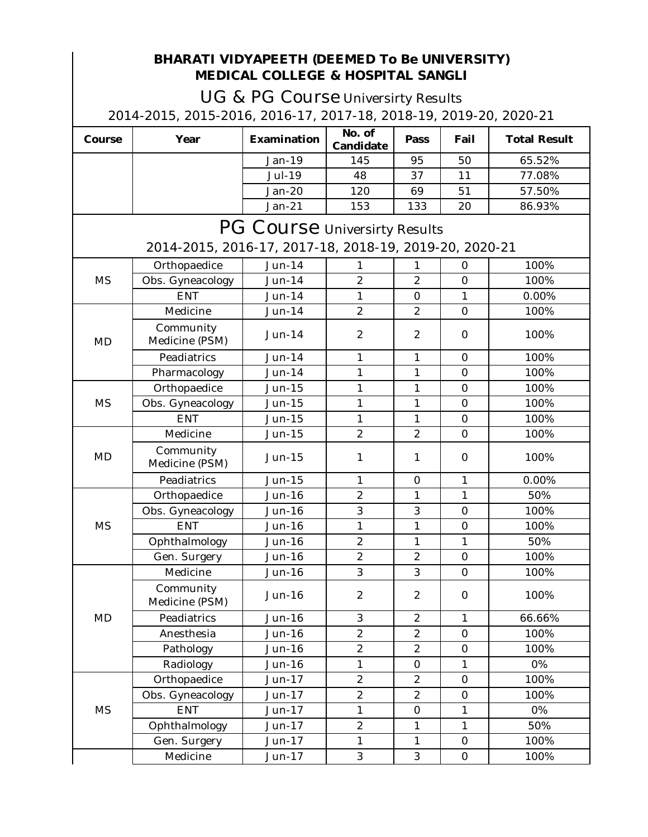# UG & PG Course Universirty Results

2014-2015, 2015-2016, 2016-17, 2017-18, 2018-19, 2019-20, 2020-21

| Course                                                 | Year                               | <b>Examination</b> | No. of<br>Candidate | Pass             | Fail         | <b>Total Result</b> |  |  |
|--------------------------------------------------------|------------------------------------|--------------------|---------------------|------------------|--------------|---------------------|--|--|
|                                                        |                                    | <b>Jan-19</b>      | 145                 | 95               | 50           | 65.52%              |  |  |
|                                                        |                                    | <b>Jul-19</b>      | 48                  | 37               | 11           | 77.08%              |  |  |
|                                                        |                                    | <b>Jan-20</b>      | 120                 | 69               | 51           | 57.50%              |  |  |
|                                                        |                                    | $Jan-21$           | 153                 | 133              | 20           | 86.93%              |  |  |
| <b>PG Course Universirty Results</b>                   |                                    |                    |                     |                  |              |                     |  |  |
| 2014-2015, 2016-17, 2017-18, 2018-19, 2019-20, 2020-21 |                                    |                    |                     |                  |              |                     |  |  |
|                                                        | Orthopaedice                       | <b>Jun-14</b>      | 1                   | $\mathbf{1}$     | $\bf{0}$     | 100%                |  |  |
| <b>MS</b>                                              | <b>Obs. Gyneacology</b>            | <b>Jun-14</b>      | $\boldsymbol{2}$    | $\boldsymbol{2}$ | $\bf{0}$     | 100%                |  |  |
|                                                        | <b>ENT</b>                         | <b>Jun-14</b>      | $\mathbf{1}$        | $\bf{0}$         | $\mathbf{1}$ | 0.00%               |  |  |
|                                                        | <b>Medicine</b>                    | <b>Jun-14</b>      | $\boldsymbol{2}$    | $\boldsymbol{2}$ | $\bf{0}$     | 100%                |  |  |
| <b>MD</b>                                              | Community<br><b>Medicine (PSM)</b> | <b>Jun-14</b>      | $\boldsymbol{2}$    | $\boldsymbol{2}$ | $\bf{0}$     | 100%                |  |  |
|                                                        | <b>Peadiatrics</b>                 | <b>Jun-14</b>      | $\mathbf{1}$        | $\mathbf{1}$     | $\bf{0}$     | 100%                |  |  |
|                                                        | Pharmacology                       | $Jun-14$           | $\mathbf{1}$        | $\mathbf{1}$     | $\bf{0}$     | 100%                |  |  |
|                                                        | Orthopaedice                       | <b>Jun-15</b>      | $\mathbf{1}$        | $\mathbf{1}$     | $\bf{0}$     | 100%                |  |  |
| <b>MS</b>                                              | <b>Obs. Gyneacology</b>            | $Jun-15$           | $\mathbf{1}$        | $\mathbf{1}$     | $\bf{0}$     | 100%                |  |  |
|                                                        | <b>ENT</b>                         | <b>Jun-15</b>      | $\mathbf{1}$        | $\mathbf{1}$     | $\bf{0}$     | 100%                |  |  |
|                                                        | <b>Medicine</b>                    | $Jun-15$           | $\boldsymbol{2}$    | $\boldsymbol{2}$ | $\bf{0}$     | 100%                |  |  |
| <b>MD</b>                                              | Community<br><b>Medicine (PSM)</b> | <b>Jun-15</b>      | $\mathbf{1}$        | $\mathbf{1}$     | $\bf{0}$     | 100%                |  |  |
|                                                        | <b>Peadiatrics</b>                 | <b>Jun-15</b>      | $\mathbf{1}$        | $\bf{0}$         | $\mathbf{1}$ | 0.00%               |  |  |
| <b>MS</b>                                              | Orthopaedice                       | <b>Jun-16</b>      | $\boldsymbol{2}$    | $\mathbf{1}$     | $\mathbf{1}$ | 50%                 |  |  |
|                                                        | <b>Obs. Gyneacology</b>            | <b>Jun-16</b>      | 3                   | 3                | $\bf{0}$     | 100%                |  |  |
|                                                        | <b>ENT</b>                         | <b>Jun-16</b>      | 1                   | $\mathbf{1}$     | $\bf{0}$     | 100%                |  |  |
|                                                        | Ophthalmology                      | <b>Jun-16</b>      | $\boldsymbol{2}$    | $\mathbf{1}$     | $\mathbf{1}$ | 50%                 |  |  |
|                                                        | <b>Gen. Surgery</b>                | <b>Jun-16</b>      | $\boldsymbol{2}$    | $\boldsymbol{2}$ | $\bf{0}$     | 100%                |  |  |
|                                                        | <b>Medicine</b>                    | $Jun-16$           | 3                   | 3                | $\bf{0}$     | 100%                |  |  |
| <b>MD</b>                                              | Community<br><b>Medicine (PSM)</b> | <b>Jun-16</b>      | $\boldsymbol{2}$    | $\boldsymbol{2}$ | $\bf{0}$     | 100%                |  |  |
|                                                        | <b>Peadiatrics</b>                 | <b>Jun-16</b>      | 3                   | $\boldsymbol{2}$ | 1            | 66.66%              |  |  |
|                                                        | Anesthesia                         | <b>Jun-16</b>      | $\overline{2}$      | $\boldsymbol{2}$ | $\bf{0}$     | 100%                |  |  |
|                                                        | Pathology                          | <b>Jun-16</b>      | $\boldsymbol{2}$    | $\boldsymbol{2}$ | $\bf{0}$     | 100%                |  |  |
|                                                        | Radiology                          | <b>Jun-16</b>      | $\mathbf{1}$        | $\bf{0}$         | $\mathbf{1}$ | 0%                  |  |  |
| MS                                                     | Orthopaedice                       | Jun-17             | $\boldsymbol{2}$    | $\boldsymbol{2}$ | $\bf{0}$     | 100%                |  |  |
|                                                        | Obs. Gyneacology                   | Jun-17             | $\boldsymbol{2}$    | $\boldsymbol{2}$ | $\bf{0}$     | 100%                |  |  |
|                                                        | <b>ENT</b>                         | Jun-17             | 1                   | $\bf{0}$         | 1            | 0%                  |  |  |
|                                                        | Ophthalmology                      | <b>Jun-17</b>      | $\boldsymbol{2}$    | $\mathbf{1}$     | $\mathbf{1}$ | 50%                 |  |  |
|                                                        | <b>Gen. Surgery</b>                | Jun-17             | $\mathbf{1}$        | $\mathbf{1}$     | $\bf{0}$     | 100%                |  |  |
|                                                        | <b>Medicine</b>                    | Jun-17             | 3                   | 3                | $\bf{0}$     | 100%                |  |  |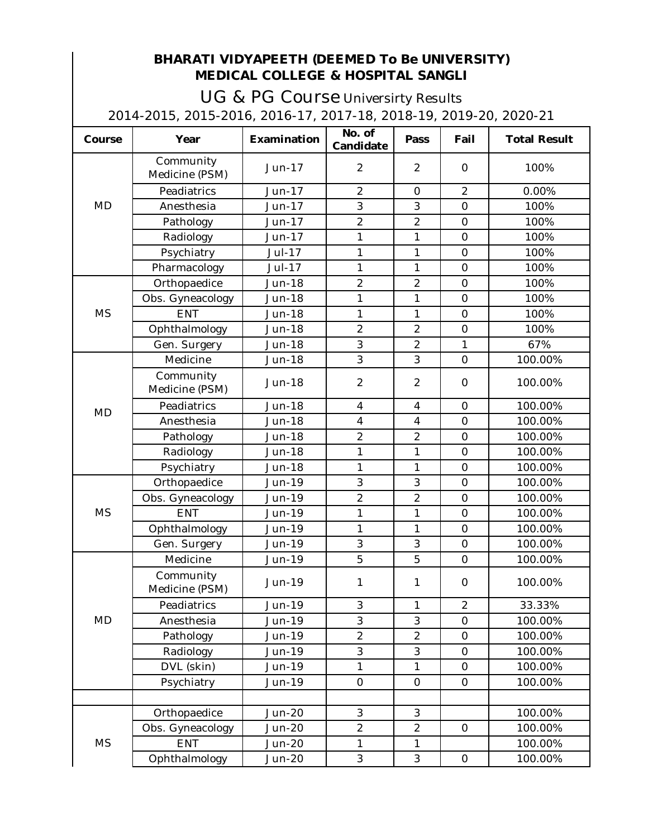### UG & PG Course Universirty Results 2014-2015, 2015-2016, 2016-17, 2017-18, 2018-19, 2019-20, 2020-21

| Course    | Year                               | <b>Examination</b> | No. of<br>Candidate     | Pass             | Fail             | <b>Total Result</b> |
|-----------|------------------------------------|--------------------|-------------------------|------------------|------------------|---------------------|
| <b>MD</b> | Community<br><b>Medicine (PSM)</b> | $Jun-17$           | $\boldsymbol{2}$        | $\boldsymbol{2}$ | $\bf{0}$         | 100%                |
|           | <b>Peadiatrics</b>                 | Jun-17             | $\boldsymbol{2}$        | $\bf{0}$         | $\boldsymbol{2}$ | 0.00%               |
|           | Anesthesia                         | <b>Jun-17</b>      | 3                       | 3                | $\bf{0}$         | 100%                |
|           | Pathology                          | $Jun-17$           | $\boldsymbol{2}$        | $\boldsymbol{2}$ | $\bf{0}$         | 100%                |
|           | Radiology                          | Jun-17             | $\mathbf{1}$            | $\mathbf{1}$     | $\bf{0}$         | 100%                |
|           | Psychiatry                         | <b>Jul-17</b>      | $\mathbf{1}$            | $\mathbf{1}$     | $\bf{0}$         | 100%                |
|           | Pharmacology                       | <b>Jul-17</b>      | $\mathbf{1}$            | $\mathbf{1}$     | $\bf{0}$         | 100%                |
|           | Orthopaedice                       | <b>Jun-18</b>      | $\boldsymbol{2}$        | $\boldsymbol{2}$ | $\bf{0}$         | 100%                |
|           | <b>Obs. Gyneacology</b>            | <b>Jun-18</b>      | $\mathbf{1}$            | $\mathbf{1}$     | $\bf{0}$         | 100%                |
| <b>MS</b> | <b>ENT</b>                         | <b>Jun-18</b>      | $\mathbf{1}$            | $\mathbf{1}$     | $\bf{0}$         | 100%                |
|           | Ophthalmology                      | <b>Jun-18</b>      | $\boldsymbol{2}$        | $\boldsymbol{2}$ | $\bf{0}$         | 100%                |
|           | Gen. Surgery                       | <b>Jun-18</b>      | 3                       | $\boldsymbol{2}$ | $\mathbf{1}$     | 67%                 |
|           | <b>Medicine</b>                    | $Jun-18$           | $\overline{3}$          | 3                | $\bf{0}$         | 100.00%             |
|           | Community<br><b>Medicine (PSM)</b> | <b>Jun-18</b>      | $\boldsymbol{2}$        | $\boldsymbol{2}$ | $\bf{0}$         | 100.00%             |
|           | <b>Peadiatrics</b>                 | <b>Jun-18</b>      | $\boldsymbol{4}$        | $\boldsymbol{4}$ | $\bf{0}$         | 100.00%             |
| <b>MD</b> | Anesthesia                         | <b>Jun-18</b>      | $\overline{\mathbf{4}}$ | $\boldsymbol{4}$ | $\bf{0}$         | 100.00%             |
|           | Pathology                          | <b>Jun-18</b>      | $\boldsymbol{2}$        | $\boldsymbol{2}$ | $\bf{0}$         | 100.00%             |
|           | Radiology                          | <b>Jun-18</b>      | $\mathbf{1}$            | $\mathbf{1}$     | $\bf{0}$         | 100.00%             |
|           | Psychiatry                         | <b>Jun-18</b>      | $\mathbf{1}$            | $\mathbf{1}$     | $\bf{0}$         | 100.00%             |
|           | Orthopaedice                       | <b>Jun-19</b>      | 3                       | 3                | $\bf{0}$         | 100.00%             |
|           | <b>Obs. Gyneacology</b>            | <b>Jun-19</b>      | $\boldsymbol{2}$        | $\boldsymbol{2}$ | $\bf{0}$         | 100.00%             |
| <b>MS</b> | <b>ENT</b>                         | <b>Jun-19</b>      | $\mathbf{1}$            | $\mathbf{1}$     | $\bf{0}$         | 100.00%             |
|           | Ophthalmology                      | <b>Jun-19</b>      | $\mathbf{1}$            | $\mathbf{1}$     | $\bf{0}$         | 100.00%             |
|           | <b>Gen. Surgery</b>                | <b>Jun-19</b>      | 3                       | 3                | $\bf{0}$         | 100.00%             |
| <b>MD</b> | <b>Medicine</b>                    | <b>Jun-19</b>      | $\overline{5}$          | $\overline{5}$   | $\bf{0}$         | 100.00%             |
|           | Community<br><b>Medicine (PSM)</b> | <b>Jun-19</b>      | $\mathbf{1}$            | 1                | $\bf{0}$         | 100.00%             |
|           | <b>Peadiatrics</b>                 | <b>Jun-19</b>      | 3                       | $\mathbf{1}$     | $\boldsymbol{2}$ | 33.33%              |
|           | Anesthesia                         | <b>Jun-19</b>      | 3                       | 3                | $\bf{0}$         | 100.00%             |
|           | Pathology                          | <b>Jun-19</b>      | $\boldsymbol{2}$        | $\boldsymbol{2}$ | $\bf{0}$         | 100.00%             |
|           | Radiology                          | <b>Jun-19</b>      | $\overline{3}$          | 3                | $\bf{0}$         | 100.00%             |
|           | DVL (skin)                         | <b>Jun-19</b>      | $\mathbf{1}$            | $\mathbf{1}$     | $\bf{0}$         | 100.00%             |
|           | Psychiatry                         | <b>Jun-19</b>      | $\bf{0}$                | $\bf{0}$         | $\bf{0}$         | 100.00%             |
|           |                                    |                    |                         |                  |                  |                     |
| <b>MS</b> | Orthopaedice                       | <b>Jun-20</b>      | 3                       | 3                |                  | 100.00%             |
|           | Obs. Gyneacology                   | <b>Jun-20</b>      | $\boldsymbol{2}$        | $\boldsymbol{2}$ | $\bf{0}$         | 100.00%             |
|           | <b>ENT</b>                         | <b>Jun-20</b>      | $\mathbf{1}$            | $\mathbf{1}$     |                  | 100.00%             |
|           | Ophthalmology                      | <b>Jun-20</b>      | 3                       | 3                | $\bf{0}$         | 100.00%             |